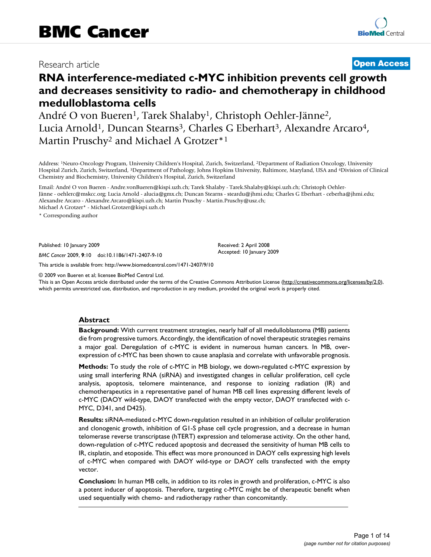## Research article **[Open Access](http://www.biomedcentral.com/info/about/charter/)**

# **RNA interference-mediated c-MYC inhibition prevents cell growth and decreases sensitivity to radio- and chemotherapy in childhood medulloblastoma cells**

André O von Bueren<sup>1</sup>, Tarek Shalaby<sup>1</sup>, Christoph Oehler-Jänne<sup>2</sup>, Lucia Arnold<sup>1</sup>, Duncan Stearns<sup>3</sup>, Charles G Eberhart<sup>3</sup>, Alexandre Arcaro<sup>4</sup>, Martin Pruschy<sup>2</sup> and Michael A Grotzer<sup>\*1</sup>

Address: 1Neuro-Oncology Program, University Children's Hospital, Zurich, Switzerland, 2Department of Radiation Oncology, University Hospital Zurich, Zurich, Switzerland, 3Department of Pathology, Johns Hopkins University, Baltimore, Maryland, USA and 4Division of Clinical Chemistry and Biochemistry, University Children's Hospital, Zurich, Switzerland

Email: André O von Bueren - Andre.vonBueren@kispi.uzh.ch; Tarek Shalaby - Tarek.Shalaby@kispi.uzh.ch; Christoph Oehler-Jänne - oehlerc@mskcc.org; Lucia Arnold - alucia@gmx.ch; Duncan Stearns - steardu@jhmi.edu; Charles G Eberhart - ceberha@jhmi.edu; Alexandre Arcaro - Alexandre.Arcaro@kispi.uzh.ch; Martin Pruschy - Martin.Pruschy@usz.ch;

Michael A Grotzer\* - Michael.Grotzer@kispi.uzh.ch

\* Corresponding author

Published: 10 January 2009

*BMC Cancer* 2009, **9**:10 doi:10.1186/1471-2407-9-10

[This article is available from: http://www.biomedcentral.com/1471-2407/9/10](http://www.biomedcentral.com/1471-2407/9/10)

© 2009 von Bueren et al; licensee BioMed Central Ltd.

This is an Open Access article distributed under the terms of the Creative Commons Attribution License [\(http://creativecommons.org/licenses/by/2.0\)](http://creativecommons.org/licenses/by/2.0), which permits unrestricted use, distribution, and reproduction in any medium, provided the original work is properly cited.

Received: 2 April 2008 Accepted: 10 January 2009

## **Abstract**

**Background:** With current treatment strategies, nearly half of all medulloblastoma (MB) patients die from progressive tumors. Accordingly, the identification of novel therapeutic strategies remains a major goal. Deregulation of c-MYC is evident in numerous human cancers. In MB, overexpression of c-MYC has been shown to cause anaplasia and correlate with unfavorable prognosis.

**Methods:** To study the role of c-MYC in MB biology, we down-regulated c-MYC expression by using small interfering RNA (siRNA) and investigated changes in cellular proliferation, cell cycle analysis, apoptosis, telomere maintenance, and response to ionizing radiation (IR) and chemotherapeutics in a representative panel of human MB cell lines expressing different levels of c-MYC (DAOY wild-type, DAOY transfected with the empty vector, DAOY transfected with c-MYC, D341, and D425).

**Results:** siRNA-mediated c-MYC down-regulation resulted in an inhibition of cellular proliferation and clonogenic growth, inhibition of G1-S phase cell cycle progression, and a decrease in human telomerase reverse transcriptase (hTERT) expression and telomerase activity. On the other hand, down-regulation of c-MYC reduced apoptosis and decreased the sensitivity of human MB cells to IR, cisplatin, and etoposide. This effect was more pronounced in DAOY cells expressing high levels of c-MYC when compared with DAOY wild-type or DAOY cells transfected with the empty vector.

**Conclusion:** In human MB cells, in addition to its roles in growth and proliferation, c-MYC is also a potent inducer of apoptosis. Therefore, targeting c-MYC might be of therapeutic benefit when used sequentially with chemo- and radiotherapy rather than concomitantly.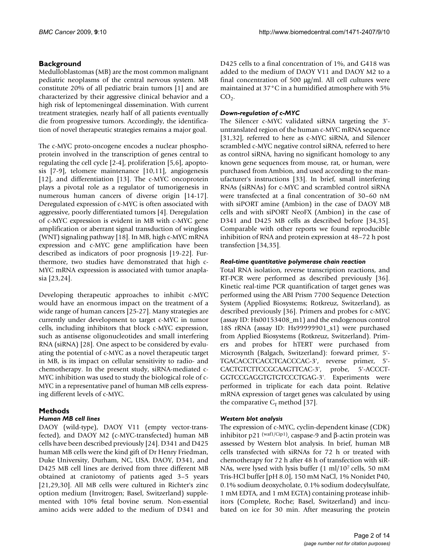## **Background**

Medulloblastomas (MB) are the most common malignant pediatric neoplasms of the central nervous system. MB constitute 20% of all pediatric brain tumors [1] and are characterized by their aggressive clinical behavior and a high risk of leptomeningeal dissemination. With current treatment strategies, nearly half of all patients eventually die from progressive tumors. Accordingly, the identification of novel therapeutic strategies remains a major goal.

The c-MYC proto-oncogene encodes a nuclear phosphoprotein involved in the transcription of genes central to regulating the cell cycle [2-4], proliferation [5,6], apoptosis [7-9], telomere maintenance [10,11], angiogenesis [12], and differentiation [13]. The c-MYC oncoprotein plays a pivotal role as a regulator of tumorigenesis in numerous human cancers of diverse origin [14-17]. Deregulated expression of c-MYC is often associated with aggressive, poorly differentiated tumors [4]. Deregulation of c-MYC expression is evident in MB with c-MYC gene amplification or aberrant signal transduction of wingless (WNT) signaling pathway [18]. In MB, high c-MYC mRNA expression and c-MYC gene amplification have been described as indicators of poor prognosis [19-22]. Furthermore, two studies have demonstrated that high c-MYC mRNA expression is associated with tumor anaplasia [23,24].

Developing therapeutic approaches to inhibit c-MYC would have an enormous impact on the treatment of a wide range of human cancers [25-27]. Many strategies are currently under development to target c-MYC in tumor cells, including inhibitors that block c-MYC expression, such as antisense oligonucleotides and small interfering RNA (siRNA) [28]. One aspect to be considered by evaluating the potential of c-MYC as a novel therapeutic target in MB, is its impact on cellular sensitivity to radio- and chemotherapy. In the present study, siRNA-mediated c-MYC inhibition was used to study the biological role of c-MYC in a representative panel of human MB cells expressing different levels of c-MYC.

## **Methods**

## *Human MB cell lines*

DAOY (wild-type), DAOY V11 (empty vector-transfected), and DAOY M2 (c-MYC-transfected) human MB cells have been described previously [24]. D341 and D425 human MB cells were the kind gift of Dr Henry Friedman, Duke University, Durham, NC, USA. DAOY, D341, and D425 MB cell lines are derived from three different MB obtained at craniotomy of patients aged 3–5 years [21,29,30]. All MB cells were cultured in Richter's zinc option medium (Invitrogen; Basel, Switzerland) supplemented with 10% fetal bovine serum. Non-essential amino acids were added to the medium of D341 and

D425 cells to a final concentration of 1%, and G418 was added to the medium of DAOY V11 and DAOY M2 to a final concentration of 500 μg/ml. All cell cultures were maintained at 37°C in a humidified atmosphere with 5%  $CO<sub>2</sub>$ .

## *Down-regulation of c-MYC*

The Silencer c-MYC validated siRNA targeting the 3' untranslated region of the human c-MYC mRNA sequence [31,32], referred to here as c-MYC siRNA, and Silencer scrambled c-MYC negative control siRNA, referred to here as control siRNA, having no significant homology to any known gene sequences from mouse, rat, or human, were purchased from Ambion, and used according to the manufacturer's instructions [33]. In brief, small interfering RNAs (siRNAs) for c-MYC and scrambled control siRNA were transfected at a final concentration of 30–60 nM with siPORT amine (Ambion) in the case of DAOY MB cells and with siPORT NeoFX (Ambion) in the case of D341 and D425 MB cells as described before [34,35]. Comparable with other reports we found reproducible inhibition of RNA and protein expression at 48–72 h post transfection [34,35].

## *Real-time quantitative polymerase chain reaction*

Total RNA isolation, reverse transcription reactions, and RT-PCR were performed as described previously [36]. Kinetic real-time PCR quantification of target genes was performed using the ABI Prism 7700 Sequence Detection System (Applied Biosystems; Rotkreuz, Switzerland), as described previously [36]. Primers and probes for c-MYC (assay ID: Hs00153408\_m1) and the endogenous control 18S rRNA (assay ID: Hs99999901\_s1) were purchased from Applied Biosystems (Rotkreuz, Switzerland). Primers and probes for hTERT were purchased from Microsynth (Balgach, Switzerland): forward primer, 5'- TGACACCTCACCTCACCCAC-3', reverse primer, 5'- CACTGTCTTCCGCAAGTTCAC-3', probe, 5'-ACCCT-GGTCCGAGGTGTGTCCCTGAG-3'. Experiments were performed in triplicate for each data point. Relative mRNA expression of target genes was calculated by using the comparative  $C_T$  method [37].

## *Western blot analysis*

The expression of c-MYC, cyclin-dependent kinase (CDK) inhibitor p21 (waf1/Cip1), caspase-9 and β-actin protein was assessed by Western blot analysis. In brief, human MB cells transfected with siRNAs for 72 h or treated with chemotherapy for 72 h after 48 h of transfection with siR-NAs, were lysed with lysis buffer (1 ml/107 cells, 50 mM Tris-HCl buffer [pH 8.0], 150 mM NaCl, 1% Nonidet P40, 0.1% sodium deoxycholate, 0.1% sodium dodecylsulfate, 1 mM EDTA, and 1 mM EGTA) containing protease inhibitors (Complete, Roche; Basel, Switzerland) and incubated on ice for 30 min. After measuring the protein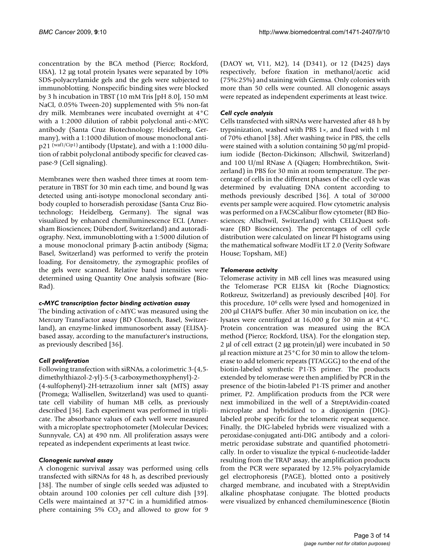concentration by the BCA method (Pierce; Rockford, USA), 12 μg total protein lysates were separated by 10% SDS-polyacrylamide gels and the gels were subjected to immunoblotting. Nonspecific binding sites were blocked by 3 h incubation in TBST (10 mM Tris [pH 8.0], 150 mM NaCl, 0.05% Tween-20) supplemented with 5% non-fat dry milk. Membranes were incubated overnight at 4°C with a 1:2000 dilution of rabbit polyclonal anti-c-MYC antibody (Santa Cruz Biotechnology; Heidelberg, Germany), with a 1:1000 dilution of mouse monoclonal antip21 (waf1/Cip1) antibody (Upstate), and with a 1:1000 dilution of rabbit polyclonal antibody specific for cleaved caspase-9 (Cell signaling).

Membranes were then washed three times at room temperature in TBST for 30 min each time, and bound Ig was detected using anti-isotype monoclonal secondary antibody coupled to horseradish peroxidase (Santa Cruz Biotechnology; Heidelberg, Germany). The signal was visualized by enhanced chemiluminescence ECL (Amersham Biosciences; Dübendorf, Switzerland) and autoradiography. Next, immunoblotting with a 1:5000 dilution of a mouse monoclonal primary β-actin antibody (Sigma; Basel, Switzerland) was performed to verify the protein loading. For densitometry, the zymographic profiles of the gels were scanned. Relative band intensities were determined using Quantity One analysis software (Bio-Rad).

## *c-MYC transcription factor binding activation assay*

The binding activation of c-MYC was measured using the Mercury TransFactor assay (BD Clontech, Basel, Switzerland), an enzyme-linked immunosorbent assay (ELISA) based assay, according to the manufacturer's instructions, as previously described [36].

## *Cell proliferation*

Following transfection with siRNAs, a colorimetric 3-(4,5 dimethylthiazol-2-yl)-5-(3-carboxymethoxyphenyl)-2- (4-sulfophenyl)-2H-tetrazolium inner salt (MTS) assay (Promega; Wallisellen, Switzerland) was used to quantitate cell viability of human MB cells, as previously described [36]. Each experiment was performed in triplicate. The absorbance values of each well were measured with a microplate spectrophotometer (Molecular Devices; Sunnyvale, CA) at 490 nm. All proliferation assays were repeated as independent experiments at least twice.

## *Clonogenic survival assay*

A clonogenic survival assay was performed using cells transfected with siRNAs for 48 h, as described previously [38]. The number of single cells seeded was adjusted to obtain around 100 colonies per cell culture dish [39]. Cells were maintained at 37°C in a humidified atmosphere containing 5%  $CO<sub>2</sub>$  and allowed to grow for 9

(DAOY wt, V11, M2), 14 (D341), or 12 (D425) days respectively, before fixation in methanol/acetic acid (75%:25%) and staining with Giemsa. Only colonies with more than 50 cells were counted. All clonogenic assays were repeated as independent experiments at least twice.

## *Cell cycle analysis*

Cells transfected with siRNAs were harvested after 48 h by trypsinization, washed with PBS 1×, and fixed with 1 ml of 70% ethanol [38]. After washing twice in PBS, the cells were stained with a solution containing 50 μg/ml propidium iodide (Becton-Dickinson; Allschwil, Switzerland) and 100 U/ml RNase A (Qiagen; Hombrechtikon, Switzerland) in PBS for 30 min at room temperature. The percentage of cells in the different phases of the cell cycle was determined by evaluating DNA content according to methods previously described [36]. A total of 30'000 events per sample were acquired. Flow cytometric analysis was performed on a FACSCalibur flow cytometer (BD Biosciences; Allschwil, Switzerland) with CELLQuest software (BD Biosciences). The percentages of cell cycle distribution were calculated on linear PI histograms using the mathematical software ModFit LT 2.0 (Verity Software House; Topsham, ME)

## *Telomerase activity*

Telomerase activity in MB cell lines was measured using the Telomerase PCR ELISA kit (Roche Diagnostics; Rotkreuz, Switzerland) as previously described [40]. For this procedure, 106 cells were lysed and homogenized in 200 μl CHAPS buffer. After 30 min incubation on ice, the lysates were centrifuged at 16,000 g for 30 min at 4°C. Protein concentration was measured using the BCA method (Pierce; Rockford, USA). For the elongation step, 2 μl of cell extract (2 μg protein/μl) were incubated in 50 μl reaction mixture at 25°C for 30 min to allow the telomerase to add telomeric repeats (TTAGGG) to the end of the biotin-labeled synthetic P1-TS primer. The products extended by telomerase were then amplified by PCR in the presence of the biotin-labeled P1-TS primer and another primer, P2. Amplification products from the PCR were next immobilized in the well of a StreptAvidin-coated microplate and hybridized to a digoxigenin (DIG) labeled probe specific for the telomeric repeat sequence. Finally, the DIG-labeled hybrids were visualized with a peroxidase-conjugated anti-DIG antibody and a colorimetric peroxidase substrate and quantified photometrically. In order to visualize the typical 6-nucleotide-ladder resulting from the TRAP assay, the amplification products from the PCR were separated by 12.5% polyacrylamide gel electrophoresis (PAGE), blotted onto a positively charged membrane, and incubated with a StreptAvidin alkaline phosphatase conjugate. The blotted products were visualized by enhanced chemiluminescence (Biotin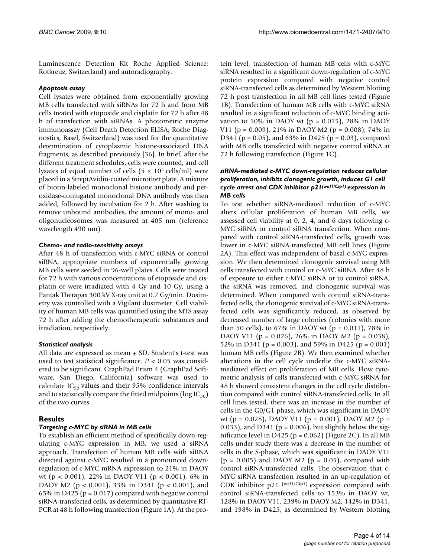Luminescence Detection Kit Roche Applied Science; Rotkreuz, Switzerland) and autoradiography.

## *Apoptosis assay*

Cell lysates were obtained from exponentially growing MB cells transfected with siRNAs for 72 h and from MB cells treated with etoposide and cisplatin for 72 h after 48 h of transfection with siRNAs. A photometric enzyme immunoassay (Cell Death Detection ELISA; Roche Diagnostics, Basel, Switzerland) was used for the quantitative determination of cytoplasmic histone-associated DNA fragments, as described previously [36]. In brief, after the different treatment schedules, cells were counted, and cell lysates of equal number of cells ( $5 \times 10^4$  cells/ml) were placed in a StreptAvidin-coated microtiter plate. A mixture of biotin-labeled monoclonal histone antibody and peroxidase-conjugated monoclonal DNA antibody was then added, followed by incubation for 2 h. After washing to remove unbound antibodies, the amount of mono- and oligonucleosomes was measured at 405 nm (reference wavelength 490 nm).

## *Chemo- and radio-sensitivity assays*

After 48 h of transfection with c-MYC siRNA or control siRNA, appropriate numbers of exponentially growing MB cells were seeded in 96-well plates. Cells were treated for 72 h with various concentrations of etoposide and cisplatin or were irradiated with 4 Gy and 10 Gy, using a Pantak Therapax 300 kV X-ray unit at 0.7 Gy/min. Dosimetry was controlled with a Vigilant dosimeter. Cell viability of human MB cells was quantified using the MTS assay 72 h after adding the chemotherapeutic substances and irradiation, respectively.

## *Statistical analysis*

All data are expressed as mean  $\pm$  SD. Student's t-test was used to test statistical significance.  $P < 0.05$  was considered to be significant. GraphPad Prism 4 (GraphPad Software, San Diego, California) software was used to calculate  $IC_{50}$  values and their 95% confidence intervals and to statistically compare the fitted midpoints ( $log IC_{50}$ ) of the two curves.

## **Results**

## *Targeting c-MYC by siRNA in MB cells*

To establish an efficient method of specifically down-regulating c-MYC expression in MB, we used a siRNA approach. Transfection of human MB cells with siRNA directed against c-MYC resulted in a pronounced downregulation of c-MYC mRNA expression to 21% in DAOY wt (p < 0.001), 22% in DAOY V11 (p < 0.001), 6% in DAOY M2 (p < 0.001), 33% in D341 (p < 0.001), and 65% in D425 ( $p = 0.017$ ) compared with negative control siRNA-transfected cells, as determined by quantitative RT-PCR at 48 h following transfection (Figure 1A). At the protein level, transfection of human MB cells with c-MYC siRNA resulted in a significant down-regulation of c-MYC protein expression compared with negative control siRNA-transfected cells as determined by Western blotting 72 h post transfection in all MB cell lines tested (Figure 1B). Transfection of human MB cells with c-MYC siRNA resulted in a significant reduction of c-MYC binding activation to 10% in DAOY wt ( $p = 0.015$ ), 28% in DAOY V11 ( $p = 0.009$ ), 21% in DAOY M2 ( $p = 0.008$ ), 74% in D341 ( $p = 0.05$ ), and 63% in D425 ( $p = 0.03$ ), compared with MB cells transfected with negative control siRNA at 72 h following transfection (Figure 1C).

## *siRNA-mediated c-MYC down-regulation reduces cellular proliferation, inhibits clonogenic growth, induces G1 cell cycle arrest and CDK inhibitor p21(waf1/Cip1) expression in MB cells*

To test whether siRNA-mediated reduction of c-MYC alters cellular proliferation of human MB cells, we assessed cell viability at 0, 2, 4, and 6 days following c-MYC siRNA or control siRNA transfection. When compared with control siRNA-transfected cells, growth was lower in c-MYC siRNA-transfected MB cell lines (Figure 2A). This effect was independent of basal c-MYC expression. We then determined clonogenic survival using MB cells transfected with control or c-MYC siRNA. After 48 h of exposure to either c-MYC siRNA or to control siRNA, the siRNA was removed, and clonogenic survival was determined. When compared with control siRNA-transfected cells, the clonogenic survival of c-MYC siRNA-transfected cells was significantly reduced, as observed by decreased number of large colonies (colonies with more than 50 cells), to 67% in DAOY wt ( $p = 0.011$ ), 78% in DAOY V11 (p = 0.026), 26% in DAOY M2 (p = 0.038), 52% in D341 (p = 0.003), and 59% in D425 (p = 0.001) human MB cells (Figure 2B). We then examined whether alterations in the cell cycle underlie the c-MYC siRNAmediated effect on proliferation of MB cells. Flow cytometric analysis of cells transfected with c-MYC siRNA for 48 h showed consistent changes in the cell cycle distribution compared with control siRNA-transfected cells. In all cell lines tested, there was an increase in the number of cells in the G0/G1 phase, which was significant in DAOY wt (p = 0.028), DAOY V11 (p = 0.001), DAOY M2 (p = 0.033), and D341 ( $p = 0.006$ ), but slightly below the significance level in D425 ( $p = 0.062$ ) (Figure 2C). In all MB cells under study there was a decrease in the number of cells in the S-phase, which was significant in DAOY V11  $(p = 0.005)$  and DAOY M2  $(p = 0.05)$ , compared with control siRNA-transfected cells. The observation that c-MYC siRNA transfection resulted in an up-regulation of CDK inhibitor p21 (waf1/Cip1) expression compared with control siRNA-transfected cells to 153% in DAOY wt, 128% in DAOY V11, 239% in DAOY M2, 142% in D341, and 198% in D425, as determined by Western blotting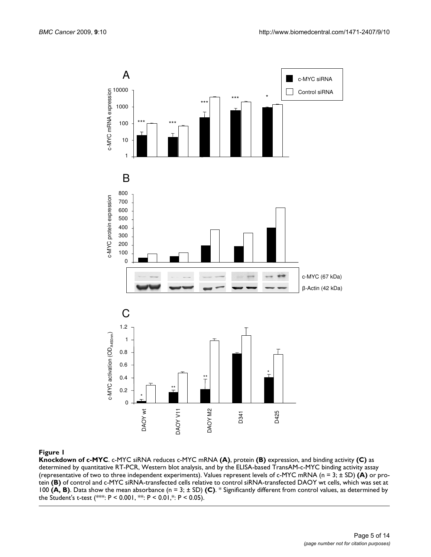

### **Figure 1**

**Knockdown of c-MYC**. c-MYC siRNA reduces c-MYC mRNA **(A)**, protein **(B)** expression, and binding activity **(C)** as determined by quantitative RT-PCR, Western blot analysis, and by the ELISA-based TransAM-c-MYC binding activity assay (representative of two to three independent experiments). Values represent levels of c-MYC mRNA (n = 3; ± SD) **(A)** or protein (B) of control and c-MYC siRNA-transfected cells relative to control siRNA-transfected DAOY wt cells, which was set at 100 **(A, B)**. Data show the mean absorbance (n = 3; ± SD) **(C)**. \* Significantly different from control values, as determined by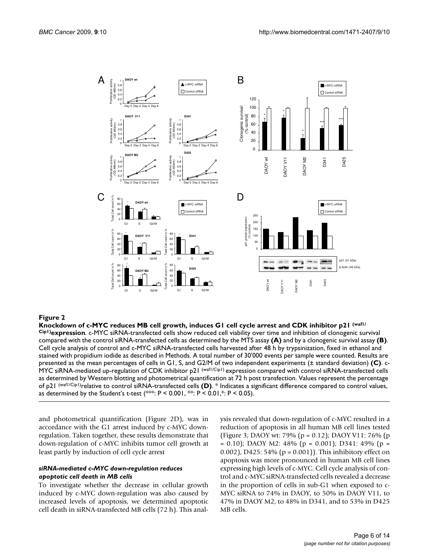

## Knockdown of c-MYC reduces MB cell growth, induces G1 cell cycle arrest and CDK inhibitor p21 (waf1/Cip1) **Figure 2** expression

**Knockdown of c-MYC reduces MB cell growth, induces G1 cell cycle arrest and CDK inhibitor p21 (waf1/ Cip1)expression**. c-MYC siRNA-transfected cells show reduced cell viability over time and inhibition of clonogenic survival compared with the control siRNA-transfected cells as determined by the MTS assay **(A)** and by a clonogenic survival assay **(B)**. Cell cycle analysis of control and c-MYC siRNA-transfected cells harvested after 48 h by trypsinization, fixed in ethanol and stained with propidium iodide as described in Methods. A total number of 30'000 events per sample were counted. Results are presented as the mean percentages of cells in G1, S, and G2/M of two independent experiments (± standard deviation) **(C)**. c-MYC siRNA-mediated up-regulation of CDK inhibitor p21 (waf1/Cip1) expression compared with control siRNA-transfected cells as determined by Western blotting and photometrical quantification at 72 h post transfection. Values represent the percentage of p21 (waf1/Cip1)relative to control siRNA-transfected cells **(D)**. \* Indicates a significant difference compared to control values, as determined by the Student's t-test  $(***: P < 0.001, **: P < 0.01, *: P < 0.05)$ .

and photometrical quantification (Figure 2D), was in accordance with the G1 arrest induced by c-MYC downregulation. Taken together, these results demonstrate that down-regulation of c-MYC inhibits tumor cell growth at least partly by induction of cell cycle arrest

## *siRNA-mediated c-MYC down-regulation reduces apoptotic cell death in MB cells*

To investigate whether the decrease in cellular growth induced by c-MYC down-regulation was also caused by increased levels of apoptosis, we determined apoptotic cell death in siRNA-transfected MB cells (72 h). This analysis revealed that down-regulation of c-MYC resulted in a reduction of apoptosis in all human MB cell lines tested (Figure 3; DAOY wt: 79% (p = 0.12); DAOY V11: 76% (p  $= 0.10$ ); DAOY M2: 48% (p  $= 0.001$ ); D341: 49% (p  $=$ 0.002), D425: 54% (p = 0.001)). This inhibitory effect on apoptosis was more pronounced in human MB cell lines expressing high levels of c-MYC. Cell cycle analysis of control and c-MYC siRNA-transfected cells revealed a decrease in the proportion of cells in sub-G1 when exposed to c-MYC siRNA to 74% in DAOY, to 50% in DAOY V11, to 47% in DAOY M2, to 48% in D341, and to 53% in D425 MB cells.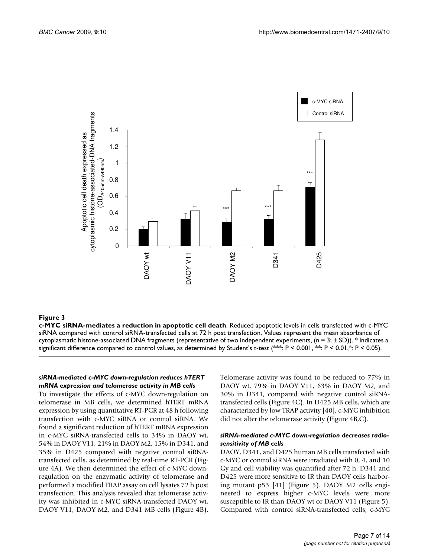

## Figure 3

**c-MYC siRNA-mediates a reduction in apoptotic cell death**. Reduced apoptotic levels in cells transfected with c-MYC siRNA compared with control siRNA-transfected cells at 72 h post transfection. Values represent the mean absorbance of cytoplasmatic histone-associated DNA fragments (representative of two independent experiments, (n = 3;  $\pm$  SD)). \* Indicates a significant difference compared to control values, as determined by Student's t-test (\*\*\*: P < 0.001, \*\*: P < 0.01,\*: P < 0.05).

## *siRNA-mediated c-MYC down-regulation reduces hTERT mRNA expression and telomerase activity in MB cells*

To investigate the effects of c-MYC down-regulation on telomerase in MB cells, we determined hTERT mRNA expression by using quantitative RT-PCR at 48 h following transfection with c-MYC siRNA or control siRNA. We found a significant reduction of hTERT mRNA expression in c-MYC siRNA-transfected cells to 34% in DAOY wt, 54% in DAOY V11, 21% in DAOY M2, 15% in D341, and 35% in D425 compared with negative control siRNAtransfected cells, as determined by real-time RT-PCR (Figure 4A). We then determined the effect of c-MYC downregulation on the enzymatic activity of telomerase and performed a modified TRAP assay on cell lysates 72 h post transfection. This analysis revealed that telomerase activity was inhibited in c-MYC siRNA-transfected DAOY wt, DAOY V11, DAOY M2, and D341 MB cells (Figure 4B).

Telomerase activity was found to be reduced to 77% in DAOY wt, 79% in DAOY V11, 63% in DAOY M2, and 30% in D341, compared with negative control siRNAtransfected cells (Figure 4C). In D425 MB cells, which are characterized by low TRAP activity [40], c-MYC inhibition did not alter the telomerase activity (Figure 4B,C).

## *siRNA-mediated c-MYC down-regulation decreases radiosensitivity of MB cells*

DAOY, D341, and D425 human MB cells transfected with c-MYC or control siRNA were irradiated with 0, 4, and 10 Gy and cell viability was quantified after 72 h. D341 and D425 were more sensitive to IR than DAOY cells harboring mutant p53 [41] (Figure 5). DAOY M2 cells engineered to express higher c-MYC levels were more susceptible to IR than DAOY wt or DAOY V11 (Figure 5). Compared with control siRNA-transfected cells, c-MYC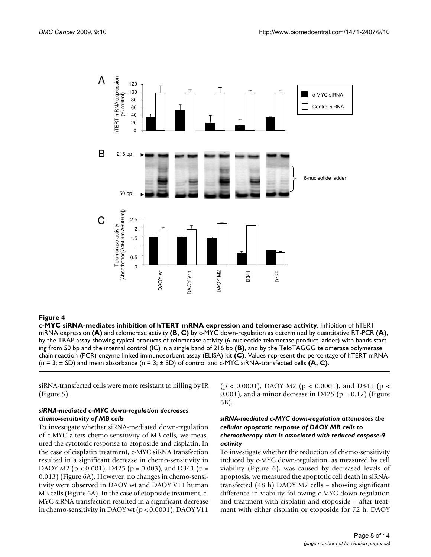

## **Figure 4** mediates in http://www.mateshore.com/water.com/water.com/water.com/water.com/water.com/water.com/water.com/water.com/water.com/water.com/water.com/water.com/water.com/water.com/water.com/water.com/water.com/wate

**c-MYC siRNA-mediates inhibition of hTERT mRNA expression and telomerase activity**. Inhibition of hTERT mRNA expression **(A)** and telomerase activity **(B, C)** by c-MYC down-regulation as determined by quantitative RT-PCR **(A)**, by the TRAP assay showing typical products of telomerase activity (6-nucleotide telomerase product ladder) with bands starting from 50 bp and the internal control (IC) in a single band of 216 bp **(B)**, and by the TeloTAGGG telomerase polymerase chain reaction (PCR) enzyme-linked immunosorbent assay (ELISA) kit **(C)**. Values represent the percentage of hTERT mRNA

siRNA-transfected cells were more resistant to killing by IR (Figure 5).

## *siRNA-mediated c-MYC down-regulation decreases chemo-sensitivity of MB cells*

To investigate whether siRNA-mediated down-regulation of c-MYC alters chemo-sensitivity of MB cells, we measured the cytotoxic response to etoposide and cisplatin. In the case of cisplatin treatment, c-MYC siRNA transfection resulted in a significant decrease in chemo-sensitivity in DAOY M2 ( $p < 0.001$ ), D425 ( $p = 0.003$ ), and D341 ( $p =$ 0.013) (Figure 6A). However, no changes in chemo-sensitivity were observed in DAOY wt and DAOY V11 human MB cells (Figure 6A). In the case of etoposide treatment, c-MYC siRNA transfection resulted in a significant decrease in chemo-sensitivity in DAOY wt (p < 0.0001), DAOY V11

 $(p < 0.0001)$ , DAOY M2  $(p < 0.0001)$ , and D341  $(p <$  $(0.001)$ , and a minor decrease in D425 (p = 0.12) (Figure 6B).

## *siRNA-mediated c-MYC down-regulation attenuates the cellular apoptotic response of DAOY MB cells to chemotherapy that is associated with reduced caspase-9 activity*

To investigate whether the reduction of chemo-sensitivity induced by c-MYC down-regulation, as measured by cell viability (Figure 6), was caused by decreased levels of apoptosis, we measured the apoptotic cell death in siRNAtransfected (48 h) DAOY M2 cells – showing significant difference in viability following c-MYC down-regulation and treatment with cisplatin and etoposide – after treatment with either cisplatin or etoposide for 72 h. DAOY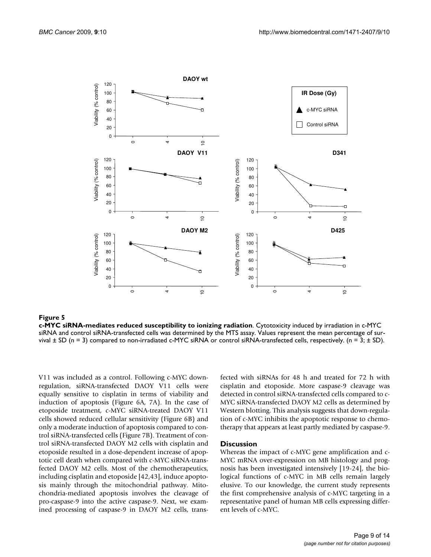

Figure 5

**c-MYC siRNA-mediates reduced susceptibility to ionizing radiation**. Cytotoxicity induced by irradiation in c-MYC siRNA and control siRNA-transfected cells was determined by the MTS assay. Values represent the mean percentage of survival  $\pm$  SD (n = 3) compared to non-irradiated c-MYC siRNA or control siRNA-transfected cells, respectively. (n = 3;  $\pm$  SD).

V11 was included as a control. Following c-MYC downregulation, siRNA-transfected DAOY V11 cells were equally sensitive to cisplatin in terms of viability and induction of apoptosis (Figure 6A, 7A). In the case of etoposide treatment, c-MYC siRNA-treated DAOY V11 cells showed reduced cellular sensitivity (Figure 6B) and only a moderate induction of apoptosis compared to control siRNA-transfected cells (Figure 7B). Treatment of control siRNA-transfected DAOY M2 cells with cisplatin and etoposide resulted in a dose-dependent increase of apoptotic cell death when compared with c-MYC siRNA-transfected DAOY M2 cells. Most of the chemotherapeutics, including cisplatin and etoposide [42,43], induce apoptosis mainly through the mitochondrial pathway. Mitochondria-mediated apoptosis involves the cleavage of pro-caspase-9 into the active caspase-9. Next, we examined processing of caspase-9 in DAOY M2 cells, transfected with siRNAs for 48 h and treated for 72 h with cisplatin and etoposide. More caspase-9 cleavage was detected in control siRNA-transfected cells compared to c-MYC siRNA-transfected DAOY M2 cells as determined by Western blotting. This analysis suggests that down-regulation of c-MYC inhibits the apoptotic response to chemotherapy that appears at least partly mediated by caspase-9.

### **Discussion**

Whereas the impact of c-MYC gene amplification and c-MYC mRNA over-expression on MB histology and prognosis has been investigated intensively [19-24], the biological functions of c-MYC in MB cells remain largely elusive. To our knowledge, the current study represents the first comprehensive analysis of c-MYC targeting in a representative panel of human MB cells expressing different levels of c-MYC.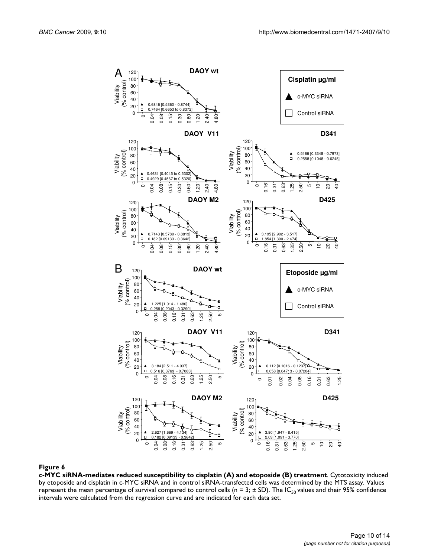

**c-MYC siRNA-mediates reduced susceptibility to cisplatin (A) and etoposide (B) treatment**. Cytotoxicity induced by etoposide and cisplatin in c-MYC siRNA and in control siRNA-transfected cells was determined by the MTS assay. Values represent the mean percentage of survival compared to control cells (n = 3;  $\pm$  SD). The IC<sub>50</sub> values and their 95% confidence intervals were calculated from the regression curve and are indicated for each data set.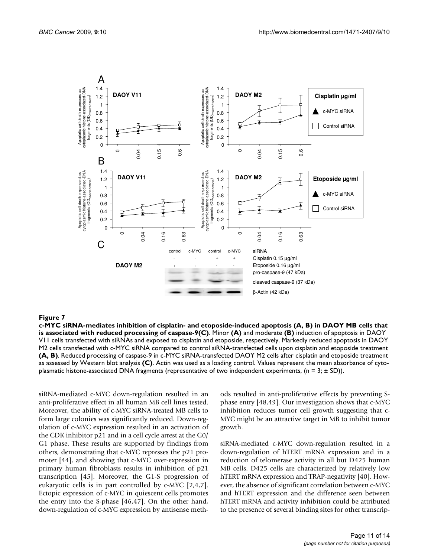

## c-MYC siRNA-mediates inhibition of cispla with reduced processing of caspase-9 **Figure 7** tin- and etoposide-induced apoptosis (A, B) in DAOY MB cells that is associated

**c-MYC siRNA-mediates inhibition of cisplatin- and etoposide-induced apoptosis (A, B) in DAOY MB cells that is associated with reduced processing of caspase-9(C)**. Minor **(A)** and moderate **(B)** induction of apoptosis in DAOY V11 cells transfected with siRNAs and exposed to cisplatin and etoposide, respectively. Markedly reduced apoptosis in DAOY M2 cells transfected with c-MYC siRNA compared to control siRNA-transfected cells upon cisplatin and etoposide treatment **(A, B)**. Reduced processing of caspase-9 in c-MYC siRNA-transfected DAOY M2 cells after cisplatin and etoposide treatment as assessed by Western blot analysis **(C)**. Actin was used as a loading control. Values represent the mean absorbance of cytoplasmatic histone-associated DNA fragments (representative of two independent experiments,  $(n = 3; \pm SD)$ ).

siRNA-mediated c-MYC down-regulation resulted in an anti-proliferative effect in all human MB cell lines tested. Moreover, the ability of c-MYC siRNA-treated MB cells to form large colonies was significantly reduced. Down-regulation of c-MYC expression resulted in an activation of the CDK inhibitor p21 and in a cell cycle arrest at the G0/ G1 phase. These results are supported by findings from others, demonstrating that c-MYC represses the p21 promoter [44], and showing that c-MYC over-expression in primary human fibroblasts results in inhibition of p21 transcription [45]. Moreover, the G1-S progression of eukaryotic cells is in part controlled by c-MYC [2,4,7]. Ectopic expression of c-MYC in quiescent cells promotes the entry into the S-phase [46,47]. On the other hand, down-regulation of c-MYC expression by antisense methods resulted in anti-proliferative effects by preventing Sphase entry [48,49]. Our investigation shows that c-MYC inhibition reduces tumor cell growth suggesting that c-MYC might be an attractive target in MB to inhibit tumor growth.

siRNA-mediated c-MYC down-regulation resulted in a down-regulation of hTERT mRNA expression and in a reduction of telomerase activity in all but D425 human MB cells. D425 cells are characterized by relatively low hTERT mRNA expression and TRAP-negativity [40]. However, the absence of significant correlation between c-MYC and hTERT expression and the difference seen between hTERT mRNA and activity inhibition could be attributed to the presence of several binding sites for other transcrip-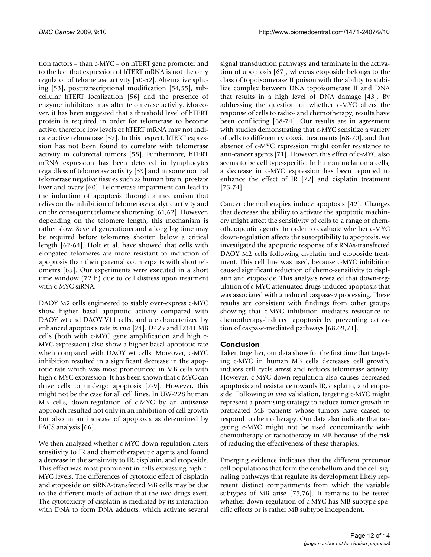tion factors – than c-MYC – on hTERT gene promoter and to the fact that expression of hTERT mRNA is not the only regulator of telomerase activity [50-52]. Alternative splicing [53], posttranscriptional modification [54,55], subcellular hTERT localization [56] and the presence of enzyme inhibitors may alter telomerase activity. Moreover, it has been suggested that a threshold level of hTERT protein is required in order for telomerase to become active, therefore low levels of hTERT mRNA may not indicate active telomerase [57]. In this respect, hTERT expression has not been found to correlate with telomerase activity in colorectal tumors [58]. Furthermore, hTERT mRNA expression has been detected in lymphocytes regardless of telomerase activity [59] and in some normal telomerase negative tissues such as human brain, prostate liver and ovary [60]. Telomerase impairment can lead to the induction of apoptosis through a mechanism that relies on the inhibition of telomerase catalytic activity and on the consequent telomere shortening [61,62]. However, depending on the telomere length, this mechanism is rather slow. Several generations and a long lag time may be required before telomeres shorten below a critical length [62-64]. Holt et al. have showed that cells with elongated telomeres are more resistant to induction of apoptosis than their parental counterparts with short telomeres [65]. Our experiments were executed in a short time window (72 h) due to cell distress upon treatment with c-MYC siRNA.

DAOY M2 cells engineered to stably over-express c-MYC show higher basal apoptotic activity compared with DAOY wt and DAOY V11 cells, and are characterized by enhanced apoptosis rate *in vivo* [24]. D425 and D341 MB cells (both with c-MYC gene amplification and high c-MYC expression) also show a higher basal apoptotic rate when compared with DAOY wt cells. Moreover, c-MYC inhibition resulted in a significant decrease in the apoptotic rate which was most pronounced in MB cells with high c-MYC expression. It has been shown that c-MYC can drive cells to undergo apoptosis [7-9]. However, this might not be the case for all cell lines. In UW-228 human MB cells, down-regulation of c-MYC by an antisense approach resulted not only in an inhibition of cell growth but also in an increase of apoptosis as determined by FACS analysis [66].

We then analyzed whether c-MYC down-regulation alters sensitivity to IR and chemotherapeutic agents and found a decrease in the sensitivity to IR, cisplatin, and etoposide. This effect was most prominent in cells expressing high c-MYC levels. The differences of cytotoxic effect of cisplatin and etoposide on siRNA-transfected MB cells may be due to the different mode of action that the two drugs exert. The cytotoxicity of cisplatin is mediated by its interaction with DNA to form DNA adducts, which activate several

signal transduction pathways and terminate in the activation of apoptosis [67], whereas etoposide belongs to the class of topoisomerase II poison with the ability to stabilize complex between DNA topoisomerase II and DNA that results in a high level of DNA damage [43]. By addressing the question of whether c-MYC alters the response of cells to radio- and chemotherapy, results have been conflicting [68-74]. Our results are in agreement with studies demonstrating that c-MYC sensitize a variety of cells to different cytotoxic treatments [68-70], and that absence of c-MYC expression might confer resistance to anti-cancer agents [71]. However, this effect of c-MYC also seems to be cell type-specific. In human melanoma cells, a decrease in c-MYC expression has been reported to enhance the effect of IR [72] and cisplatin treatment [73,74].

Cancer chemotherapies induce apoptosis [42]. Changes that decrease the ability to activate the apoptotic machinery might affect the sensitivity of cells to a range of chemotherapeutic agents. In order to evaluate whether c-MYC down-regulation affects the susceptibility to apoptosis, we investigated the apoptotic response of siRNAs-transfected DAOY M2 cells following cisplatin and etoposide treatment. This cell line was used, because c-MYC inhibition caused significant reduction of chemo-sensitivity to cisplatin and etoposide. This analysis revealed that down-regulation of c-MYC attenuated drugs-induced apoptosis that was associated with a reduced caspase-9 processing. These results are consistent with findings from other groups showing that c-MYC inhibition mediates resistance to chemotherapy-induced apoptosis by preventing activation of caspase-mediated pathways [68,69,71].

## **Conclusion**

Taken together, our data show for the first time that targeting c-MYC in human MB cells decreases cell growth, induces cell cycle arrest and reduces telomerase activity. However, c-MYC down-regulation also causes decreased apoptosis and resistance towards IR, cisplatin, and etoposide. Following *in vivo* validation, targeting c-MYC might represent a promising strategy to reduce tumor growth in pretreated MB patients whose tumors have ceased to respond to chemotherapy. Our data also indicate that targeting c-MYC might not be used concomitantly with chemotherapy or radiotherapy in MB because of the risk of reducing the effectiveness of these therapies.

Emerging evidence indicates that the different precursor cell populations that form the cerebellum and the cell signaling pathways that regulate its development likely represent distinct compartments from which the variable subtypes of MB arise [75,76]. It remains to be tested whether down-regulation of c-MYC has MB subtype specific effects or is rather MB subtype independent.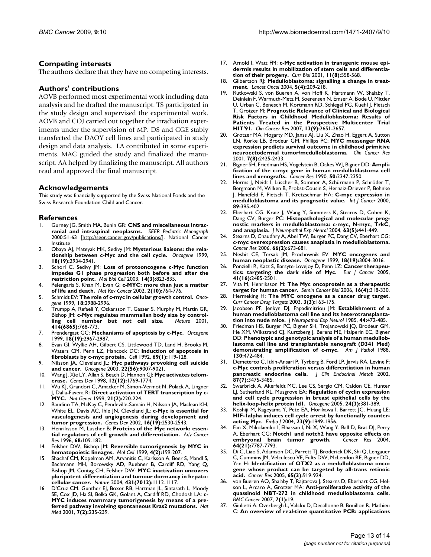## **Competing interests**

The authors declare that they have no competing interests.

## **Authors' contributions**

AOVB performed most experimental work including data analysis and he drafted the manuscript. TS participated in the study design and supervised the experimental work. AOVB and COJ carried out together the irradiation experiments under the supervision of MP. DS and CGE stably transfected the DAOY cell lines and participated in study design and data analysis. LA contributed in some experiments. MAG guided the study and finalized the manuscript. AA helped by finalizing the manuscript. All authors read and approved the final manuscript.

## **Acknowledgements**

This study was financially supported by the Swiss National Fonds and the Swiss Research Foundation Child and Cancer.

## **References**

- Gurney JG, Smith MA, Bunin GR: CNS and miscellaneous intrac**ranial and intraspinal neoplasms.** *SEER Pediatric Monograph* 2000:51-63 [\[http://seer.cancer.gov/publications/\]](http://seer.cancer.gov/publications/). National Cancer Institute
- 2. Obaya AJ, Mateyak MK, Sedivy JM: **[Mysterious liaisons: the rela](http://www.ncbi.nlm.nih.gov/entrez/query.fcgi?cmd=Retrieve&db=PubMed&dopt=Abstract&list_uids=10378690)[tionship between c-Myc and the cell cycle.](http://www.ncbi.nlm.nih.gov/entrez/query.fcgi?cmd=Retrieve&db=PubMed&dopt=Abstract&list_uids=10378690)** *Oncogene* 1999, **18(19):**2934-2941.
- 3. Schorl C, Sedivy JM: **[Loss of protooncogene c-Myc function](http://www.ncbi.nlm.nih.gov/entrez/query.fcgi?cmd=Retrieve&db=PubMed&dopt=Abstract&list_uids=12631706) [impedes G1 phase progression both before and after the](http://www.ncbi.nlm.nih.gov/entrez/query.fcgi?cmd=Retrieve&db=PubMed&dopt=Abstract&list_uids=12631706) [restriction point.](http://www.ncbi.nlm.nih.gov/entrez/query.fcgi?cmd=Retrieve&db=PubMed&dopt=Abstract&list_uids=12631706)** *Mol Biol Cell* 2003, **14(3):**823-835.
- 4. Pelengaris S, Khan M, Evan G: **[c-MYC: more than just a matter](http://www.ncbi.nlm.nih.gov/entrez/query.fcgi?cmd=Retrieve&db=PubMed&dopt=Abstract&list_uids=12360279) [of life and death.](http://www.ncbi.nlm.nih.gov/entrez/query.fcgi?cmd=Retrieve&db=PubMed&dopt=Abstract&list_uids=12360279)** *Nat Rev Cancer* 2002, **2(10):**764-776.
- 5. Schmidt EV: **[The role of c-myc in cellular growth control.](http://www.ncbi.nlm.nih.gov/entrez/query.fcgi?cmd=Retrieve&db=PubMed&dopt=Abstract&list_uids=10378694)** *Oncogene* 1999, **18:**2988-2996.
- 6. Trumpp A, Refaeli Y, Oskarsson T, Gasser S, Murphy M, Martin GR, Bishop JM: **c-Myc regulates mammalian body size by control-<br><b>ling** cell number but not cell size. Nature 2001.  $ling$  cell number but not cell size. **414(6865):**768-773.
- 7. Prendergast GC: **[Mechanisms of apoptosis by c-Myc.](http://www.ncbi.nlm.nih.gov/entrez/query.fcgi?cmd=Retrieve&db=PubMed&dopt=Abstract&list_uids=10378693)** *Oncogene* 1999, **18(19):**2967-2987.
- Evan GI, Wyllie AH, Gilbert CS, Littlewood TD, Land H, Brooks M, Waters CM, Penn LZ, Hancock DC: **[Induction of apoptosis in](http://www.ncbi.nlm.nih.gov/entrez/query.fcgi?cmd=Retrieve&db=PubMed&dopt=Abstract&list_uids=1555236) [fibroblasts by c-myc protein.](http://www.ncbi.nlm.nih.gov/entrez/query.fcgi?cmd=Retrieve&db=PubMed&dopt=Abstract&list_uids=1555236)** *Cell* 1992, **69(1):**119-128.
- 9. Nilsson JA, Cleveland JL: **[Myc pathways provoking cell suicide](http://www.ncbi.nlm.nih.gov/entrez/query.fcgi?cmd=Retrieve&db=PubMed&dopt=Abstract&list_uids=14663479) [and cancer.](http://www.ncbi.nlm.nih.gov/entrez/query.fcgi?cmd=Retrieve&db=PubMed&dopt=Abstract&list_uids=14663479)** *Oncogene* 2003, **22(56):**9007-9021.
- Wang J, Xie LY, Allan S, Beach D, Hannon GJ: [Myc activates telom](http://www.ncbi.nlm.nih.gov/entrez/query.fcgi?cmd=Retrieve&db=PubMed&dopt=Abstract&list_uids=9637678)**[erase.](http://www.ncbi.nlm.nih.gov/entrez/query.fcgi?cmd=Retrieve&db=PubMed&dopt=Abstract&list_uids=9637678)** *Genes Dev* 1998, **12(12):**1769-1774.
- 11. Wu KJ, Grandori C, Amacker M, Simon-Vermot N, Polack A, Lingner J, Dalla-Favera R: **[Direct activation of TERT transcription by c-](http://www.ncbi.nlm.nih.gov/entrez/query.fcgi?cmd=Retrieve&db=PubMed&dopt=Abstract&list_uids=9988278)[MYC.](http://www.ncbi.nlm.nih.gov/entrez/query.fcgi?cmd=Retrieve&db=PubMed&dopt=Abstract&list_uids=9988278)** *Nat Genet* 1999, **21(2):**220-224.
- 12. Baudino TA, McKay C, Pendeville-Samain H, Nilsson JA, Maclean KH, White EL, Davis AC, Ihle JN, Cleveland JL: **[c-Myc is essential for](http://www.ncbi.nlm.nih.gov/entrez/query.fcgi?cmd=Retrieve&db=PubMed&dopt=Abstract&list_uids=12368264) [vasculogenesis and angiogenesis during development and](http://www.ncbi.nlm.nih.gov/entrez/query.fcgi?cmd=Retrieve&db=PubMed&dopt=Abstract&list_uids=12368264) [tumor progression.](http://www.ncbi.nlm.nih.gov/entrez/query.fcgi?cmd=Retrieve&db=PubMed&dopt=Abstract&list_uids=12368264)** *Genes Dev* 2002, **16(19):**2530-2543.
- 13. Henriksson M, Luscher B: **[Proteins of the Myc network: essen](http://www.ncbi.nlm.nih.gov/entrez/query.fcgi?cmd=Retrieve&db=PubMed&dopt=Abstract&list_uids=8712067)[tial regulators of cell growth and differentiation.](http://www.ncbi.nlm.nih.gov/entrez/query.fcgi?cmd=Retrieve&db=PubMed&dopt=Abstract&list_uids=8712067)** *Adv Cancer Res* 1996, **68:**109-182.
- 14. Felsher DW, Bishop JM: **[Reversible tumorigenesis by MYC in](http://www.ncbi.nlm.nih.gov/entrez/query.fcgi?cmd=Retrieve&db=PubMed&dopt=Abstract&list_uids=10488335) [hematopoietic lineages.](http://www.ncbi.nlm.nih.gov/entrez/query.fcgi?cmd=Retrieve&db=PubMed&dopt=Abstract&list_uids=10488335)** *Mol Cell* 1999, **4(2):**199-207.
- 15. Shachaf CM, Kopelman AM, Arvanitis C, Karlsson A, Beer S, Mandl S, Bachmann MH, Borowsky AD, Ruebner B, Cardiff RD, Yang Q, Bishop JM, Contag CH, Felsher DW: **[MYC inactivation uncovers](http://www.ncbi.nlm.nih.gov/entrez/query.fcgi?cmd=Retrieve&db=PubMed&dopt=Abstract&list_uids=15475948) [pluripotent differentiation and tumour dormancy in hepato](http://www.ncbi.nlm.nih.gov/entrez/query.fcgi?cmd=Retrieve&db=PubMed&dopt=Abstract&list_uids=15475948)[cellular cancer.](http://www.ncbi.nlm.nih.gov/entrez/query.fcgi?cmd=Retrieve&db=PubMed&dopt=Abstract&list_uids=15475948)** *Nature* 2004, **431(7012):**1112-1117.
- 16. D'Cruz CM, Gunther EJ, Boxer RB, Hartman JL, Sintasath L, Moody SE, Cox JD, Ha SI, Belka GK, Golant A, Cardiff RD, Chodosh LA: **[c-](http://www.ncbi.nlm.nih.gov/entrez/query.fcgi?cmd=Retrieve&db=PubMed&dopt=Abstract&list_uids=11175856)[MYC induces mammary tumorigenesis by means of a pre](http://www.ncbi.nlm.nih.gov/entrez/query.fcgi?cmd=Retrieve&db=PubMed&dopt=Abstract&list_uids=11175856)[ferred pathway involving spontaneous Kras2 mutations.](http://www.ncbi.nlm.nih.gov/entrez/query.fcgi?cmd=Retrieve&db=PubMed&dopt=Abstract&list_uids=11175856)** *Nat Med* 2001, **7(2):**235-239.
- 17. Arnold I, Watt FM: **[c-Myc activation in transgenic mouse epi](http://www.ncbi.nlm.nih.gov/entrez/query.fcgi?cmd=Retrieve&db=PubMed&dopt=Abstract&list_uids=11369200)[dermis results in mobilization of stem cells and differentia](http://www.ncbi.nlm.nih.gov/entrez/query.fcgi?cmd=Retrieve&db=PubMed&dopt=Abstract&list_uids=11369200)[tion of their progeny.](http://www.ncbi.nlm.nih.gov/entrez/query.fcgi?cmd=Retrieve&db=PubMed&dopt=Abstract&list_uids=11369200)** *Curr Biol* 2001, **11(8):**558-568.
- 18. Gilbertson RJ: **[Medulloblastoma: signalling a change in treat](http://www.ncbi.nlm.nih.gov/entrez/query.fcgi?cmd=Retrieve&db=PubMed&dopt=Abstract&list_uids=15050952)[ment.](http://www.ncbi.nlm.nih.gov/entrez/query.fcgi?cmd=Retrieve&db=PubMed&dopt=Abstract&list_uids=15050952)** *Lancet Oncol* 2004, **5(4):**209-218.
- 19. Rutkowski S, von Bueren A, von Hoff K, Hartmann W, Shalaby T, Deinlein F, Warmuth-Metz M, Soerensen N, Emser A, Bode U, Mittler U, Urban C, Benesch M, Kortmann RD, Schlegel PG, Kuehl J, Pietsch T, Grotzer M: **[Prognostic Relevance of Clinical and Biological](http://www.ncbi.nlm.nih.gov/entrez/query.fcgi?cmd=Retrieve&db=PubMed&dopt=Abstract&list_uids=17473196) [Risk Factors in Childhood Medulloblastoma: Results of](http://www.ncbi.nlm.nih.gov/entrez/query.fcgi?cmd=Retrieve&db=PubMed&dopt=Abstract&list_uids=17473196) Patients Treated in the Prospective Multicenter Trial [HIT'91.](http://www.ncbi.nlm.nih.gov/entrez/query.fcgi?cmd=Retrieve&db=PubMed&dopt=Abstract&list_uids=17473196)** *Clin Cancer Res* 2007, **13(9):**2651-2657.
- Grotzer MA, Hogarty MD, Janss AJ, Liu X, Zhao H, Eggert A, Sutton LN, Rorke LB, Brodeur GM, Phillips PC: **[MYC messenger RNA](http://www.ncbi.nlm.nih.gov/entrez/query.fcgi?cmd=Retrieve&db=PubMed&dopt=Abstract&list_uids=11489822) [expression predicts survival outcome in childhood primitive](http://www.ncbi.nlm.nih.gov/entrez/query.fcgi?cmd=Retrieve&db=PubMed&dopt=Abstract&list_uids=11489822) [neuroectodermal tumor/medulloblastoma.](http://www.ncbi.nlm.nih.gov/entrez/query.fcgi?cmd=Retrieve&db=PubMed&dopt=Abstract&list_uids=11489822)** *Clin Cancer Res* 2001, **7(8):**2425-2433.
- 21. Bigner SH, Friedman HS, Vogelstein B, Oakes WJ, Bigner DD: **[Ampli](http://www.ncbi.nlm.nih.gov/entrez/query.fcgi?cmd=Retrieve&db=PubMed&dopt=Abstract&list_uids=2180567)[fication of the c-myc gene in human medulloblastoma cell](http://www.ncbi.nlm.nih.gov/entrez/query.fcgi?cmd=Retrieve&db=PubMed&dopt=Abstract&list_uids=2180567) [lines and xenografts.](http://www.ncbi.nlm.nih.gov/entrez/query.fcgi?cmd=Retrieve&db=PubMed&dopt=Abstract&list_uids=2180567)** *Cancer Res* 1990, **50:**2347-2350.
- 22. Herms J, Neidt I, Lüscher B, Sommer A, Schürmann P, Schröder T, Bergmann M, Wilken B, Probst-Cousin S, Hernaiz-Driever P, Behnke J, Hanefeld F, Pietsch T, Kretzschmar HA: **[C-myc expression in](http://www.ncbi.nlm.nih.gov/entrez/query.fcgi?cmd=Retrieve&db=PubMed&dopt=Abstract&list_uids=11008200) [medulloblastoma and its prognsotic value.](http://www.ncbi.nlm.nih.gov/entrez/query.fcgi?cmd=Retrieve&db=PubMed&dopt=Abstract&list_uids=11008200)** *Int J Cancer* 2000, **89:**395-402.
- 23. Eberhart CG, Kratz J, Wang Y, Summers K, Stearns D, Cohen K, Dang CV, Burger PC: **[Histopathological and molecular prog](http://www.ncbi.nlm.nih.gov/entrez/query.fcgi?cmd=Retrieve&db=PubMed&dopt=Abstract&list_uids=15198123)[nostic markers in medulloblastoma: c-myc, N-myc, TrkC,](http://www.ncbi.nlm.nih.gov/entrez/query.fcgi?cmd=Retrieve&db=PubMed&dopt=Abstract&list_uids=15198123) [and anaplasia.](http://www.ncbi.nlm.nih.gov/entrez/query.fcgi?cmd=Retrieve&db=PubMed&dopt=Abstract&list_uids=15198123)** *J Neuropathol Exp Neurol* 2004, **63(5):**441-449.
- 24. Stearns D, Chaudhry A, Abel TW, Burger PC, Dang CV, Eberhart CG: **[c-myc overexpression causes anaplasia in medulloblastoma.](http://www.ncbi.nlm.nih.gov/entrez/query.fcgi?cmd=Retrieve&db=PubMed&dopt=Abstract&list_uids=16423996)** *Cancer Res* 2006, **66(2):**673-681.
- 25. Nesbit CE, Tersak JM, Prochownik EV: **[MYC oncogenes and](http://www.ncbi.nlm.nih.gov/entrez/query.fcgi?cmd=Retrieve&db=PubMed&dopt=Abstract&list_uids=10378696) [human neoplastic disease.](http://www.ncbi.nlm.nih.gov/entrez/query.fcgi?cmd=Retrieve&db=PubMed&dopt=Abstract&list_uids=10378696)** *Oncogene* 1999, **18(19):**3004-3016.
- 26. Ponzielli R, Katz S, Barsyte-Lovejoy D, Penn LZ: **[Cancer therapeu](http://www.ncbi.nlm.nih.gov/entrez/query.fcgi?cmd=Retrieve&db=PubMed&dopt=Abstract&list_uids=16243519)[tics: targeting the dark side of Myc.](http://www.ncbi.nlm.nih.gov/entrez/query.fcgi?cmd=Retrieve&db=PubMed&dopt=Abstract&list_uids=16243519)** *Eur J Cancer* 2005, **41(16):**2485-2501.
- 27. Vita M, Henriksson M: **[The Myc oncoprotein as a therapeutic](http://www.ncbi.nlm.nih.gov/entrez/query.fcgi?cmd=Retrieve&db=PubMed&dopt=Abstract&list_uids=16934487) [target for human cancer.](http://www.ncbi.nlm.nih.gov/entrez/query.fcgi?cmd=Retrieve&db=PubMed&dopt=Abstract&list_uids=16934487)** *Semin Cancer Biol* 2006, **16(4):**318-330.
- 28. Hermeking H: **[The MYC oncogene as a cancer drug target.](http://www.ncbi.nlm.nih.gov/entrez/query.fcgi?cmd=Retrieve&db=PubMed&dopt=Abstract&list_uids=12769686)** *Curr Cancer Drug Targets* 2003, **3(3):**163-175.
- 29. Jacobsen PF, Jenkyn DJ, Papadimitriou JM: **[Establishment of a](http://www.ncbi.nlm.nih.gov/entrez/query.fcgi?cmd=Retrieve&db=PubMed&dopt=Abstract&list_uids=2993532) [human medulloblastoma cell line and its heterotransplanta](http://www.ncbi.nlm.nih.gov/entrez/query.fcgi?cmd=Retrieve&db=PubMed&dopt=Abstract&list_uids=2993532)[tion into nude mice.](http://www.ncbi.nlm.nih.gov/entrez/query.fcgi?cmd=Retrieve&db=PubMed&dopt=Abstract&list_uids=2993532)** *J Neuropathol Exp Neurol* 1985, **44:**472-485.
- 30. Friedman HS, Burger PC, Bigner SH, Trojanowski JQ, Brodeur GM, He XM, Wikstrand CJ, Kurtzberg J, Berens ME, Halperin EC, Bigner DD: **[Phenotypic and genotypic analysis of a human medullob](http://www.ncbi.nlm.nih.gov/entrez/query.fcgi?cmd=Retrieve&db=PubMed&dopt=Abstract&list_uids=3279793)[lastoma cell line and transplantable xenograft \(D341 Med\)](http://www.ncbi.nlm.nih.gov/entrez/query.fcgi?cmd=Retrieve&db=PubMed&dopt=Abstract&list_uids=3279793) [demonstrating amplification of c-myc.](http://www.ncbi.nlm.nih.gov/entrez/query.fcgi?cmd=Retrieve&db=PubMed&dopt=Abstract&list_uids=3279793)** *Am J Pathol* 1988, **130:**472-484.
- 31. Demeterco C, Itkin-Ansari P, Tyrberg B, Ford LP, Jarvis RA, Levine F: **[c-Myc controls proliferation versus differentiation in human](http://www.ncbi.nlm.nih.gov/entrez/query.fcgi?cmd=Retrieve&db=PubMed&dopt=Abstract&list_uids=12107268) [pancreatic endocrine cells.](http://www.ncbi.nlm.nih.gov/entrez/query.fcgi?cmd=Retrieve&db=PubMed&dopt=Abstract&list_uids=12107268)** *J Clin Endocrinol Metab* 2002, **87(7):**3475-3485.
- 32. Swarbrick A, Akerfeldt MC, Lee CS, Sergio CM, Caldon CE, Hunter LJ, Sutherland RL, Musgrove EA: **[Regulation of cyclin expression](http://www.ncbi.nlm.nih.gov/entrez/query.fcgi?cmd=Retrieve&db=PubMed&dopt=Abstract&list_uids=15489884) [and cell cycle progression in breast epithelial cells by the](http://www.ncbi.nlm.nih.gov/entrez/query.fcgi?cmd=Retrieve&db=PubMed&dopt=Abstract&list_uids=15489884) [helix-loop-helix protein Id1.](http://www.ncbi.nlm.nih.gov/entrez/query.fcgi?cmd=Retrieve&db=PubMed&dopt=Abstract&list_uids=15489884)** *Oncogene* 2005, **24(3):**381-389.
- 33. Koshiji M, Kageyama Y, Pete EA, Horikawa I, Barrett JC, Huang LE: **[HIF-1alpha induces cell cycle arrest by functionally counter](http://www.ncbi.nlm.nih.gov/entrez/query.fcgi?cmd=Retrieve&db=PubMed&dopt=Abstract&list_uids=15071503)[acting Myc.](http://www.ncbi.nlm.nih.gov/entrez/query.fcgi?cmd=Retrieve&db=PubMed&dopt=Abstract&list_uids=15071503)** *Embo J* 2004, **23(9):**1949-1956.
- 34. Fan X, Mikolaenko I, Elhassan I, Ni X, Wang Y, Ball D, Brat DJ, Perry A, Eberhart CG: **[Notch1 and notch2 have opposite effects on](http://www.ncbi.nlm.nih.gov/entrez/query.fcgi?cmd=Retrieve&db=PubMed&dopt=Abstract&list_uids=15520184)**  $embryonal$  brain tumor growth. **64(21):**7787-7793.
- 35. Di C, Liao S, Adamson DC, Parrett TJ, Broderick DK, Shi Q, Lengauer C, Cummins JM, Velculescu VE, Fults DW, McLendon RE, Bigner DD, Yan H: **[Identification of OTX2 as a medulloblastoma onco](http://www.ncbi.nlm.nih.gov/entrez/query.fcgi?cmd=Retrieve&db=PubMed&dopt=Abstract&list_uids=15705891)[gene whose product can be targeted by all-trans retinoic](http://www.ncbi.nlm.nih.gov/entrez/query.fcgi?cmd=Retrieve&db=PubMed&dopt=Abstract&list_uids=15705891) [acid.](http://www.ncbi.nlm.nih.gov/entrez/query.fcgi?cmd=Retrieve&db=PubMed&dopt=Abstract&list_uids=15705891)** *Cancer Res* 2005, **65(3):**919-924.
- 36. von Bueren AO, Shalaby T, Rajtarova J, Stearns D, Eberhart CG, Helson L, Arcaro A, Grotzer MA: **[Anti-proliferative activity of the](http://www.ncbi.nlm.nih.gov/entrez/query.fcgi?cmd=Retrieve&db=PubMed&dopt=Abstract&list_uids=17254356) [quassinoid NBT-272 in childhood medulloblastoma cells.](http://www.ncbi.nlm.nih.gov/entrez/query.fcgi?cmd=Retrieve&db=PubMed&dopt=Abstract&list_uids=17254356)** *BMC Cancer* 2007, **7(1):**19.
- 37. Giulietti A, Overbergh L, Valckx D, Decallonne B, Bouillon R, Mathieu C: **[An overview of real-time quantitative PCR: applications](http://www.ncbi.nlm.nih.gov/entrez/query.fcgi?cmd=Retrieve&db=PubMed&dopt=Abstract&list_uids=11846608)**